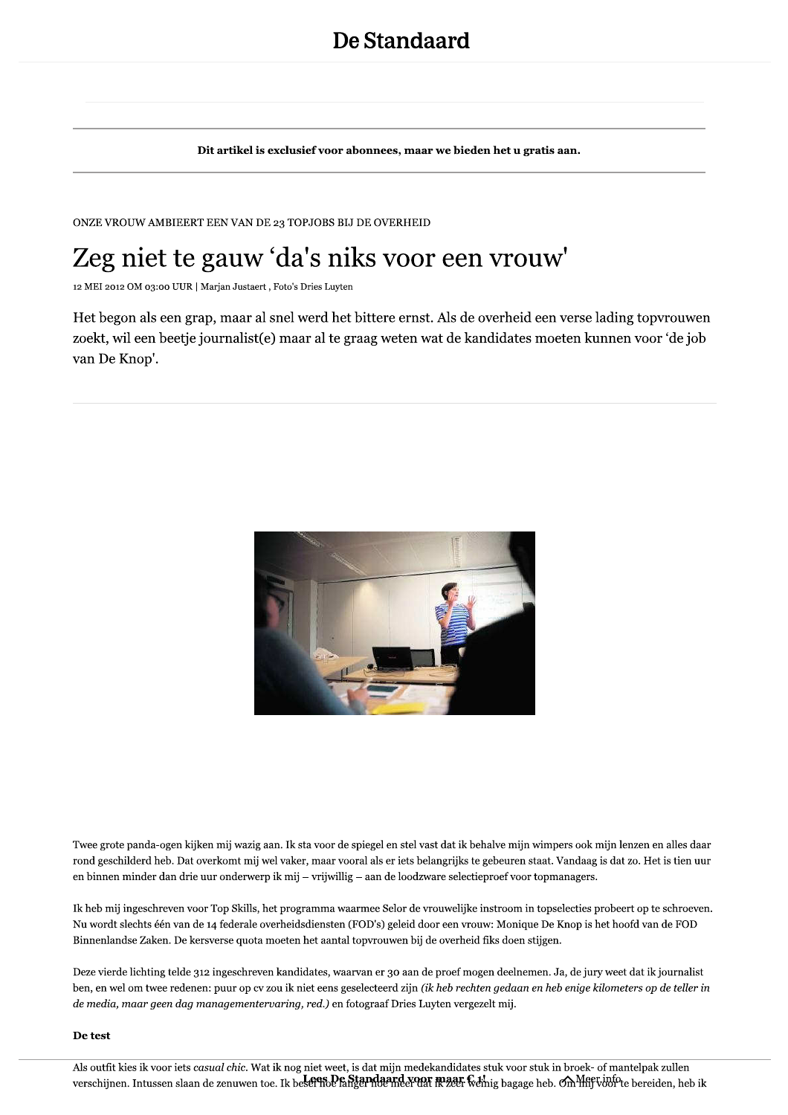Dit artikel is exclusief voor abonnees, maar we bieden het u gratis aan.

ONZE VROUW AMBIEERT EEN VAN DE 23 TOPJOBS BIJ DE OVERHEID

## Zeg niet te gauw 'da's niks voor een vrouw'

12 MEI 2012 OM 03:00 UUR | Marjan Justaert, Foto's Dries Luyten

Het begon als een grap, maar al snel werd het bittere ernst. Als de overheid een verse lading topyrouwen zoekt, wil een beetje journalist(e) maar al te graag weten wat de kandidates moeten kunnen voor 'de job van De Knop'.



Twee grote panda-ogen kijken mij wazig aan. Ik sta voor de spiegel en stel vast dat ik behalve mijn wimpers ook mijn lenzen en alles daar rond geschilderd heb. Dat overkomt mij wel vaker, maar vooral als er iets belangrijks te gebeuren staat. Vandaag is dat zo. Het is tien uur en binnen minder dan drie uur onderwerp ik mij - vrijwillig - aan de loodzware selectieproef voor topmanagers.

Ik heb mij ingeschreven voor Top Skills, het programma waarmee Selor de vrouwelijke instroom in topselecties probeert op te schroeven. Nu wordt slechts één van de 14 federale overheidsdiensten (FOD's) geleid door een vrouw: Monique De Knop is het hoofd van de FOD Binnenlandse Zaken. De kersverse quota moeten het aantal topvrouwen bij de overheid fiks doen stijgen.

Deze vierde lichting telde 312 ingeschreven kandidates, waarvan er 30 aan de proef mogen deelnemen. Ja, de jury weet dat ik journalist ben, en wel om twee redenen: puur op cv zou ik niet eens geselecteerd zijn (ik heb rechten gedaan en heb enige kilometers op de teller in de media, maar geen dag managementervaring, red.) en fotograaf Dries Luyten vergezelt mij.

## De test

Als outfit kies ik voor iets casual chic. Wat ik nog niet weet, is dat mijn medekandidates stuk voor stuk in broek- of mantelpak zullen verschijnen. Intussen slaan de zenuwen toe. Ik besefthe Panter het als ander de te als exage heb. Om the voorte bereiden, heb ik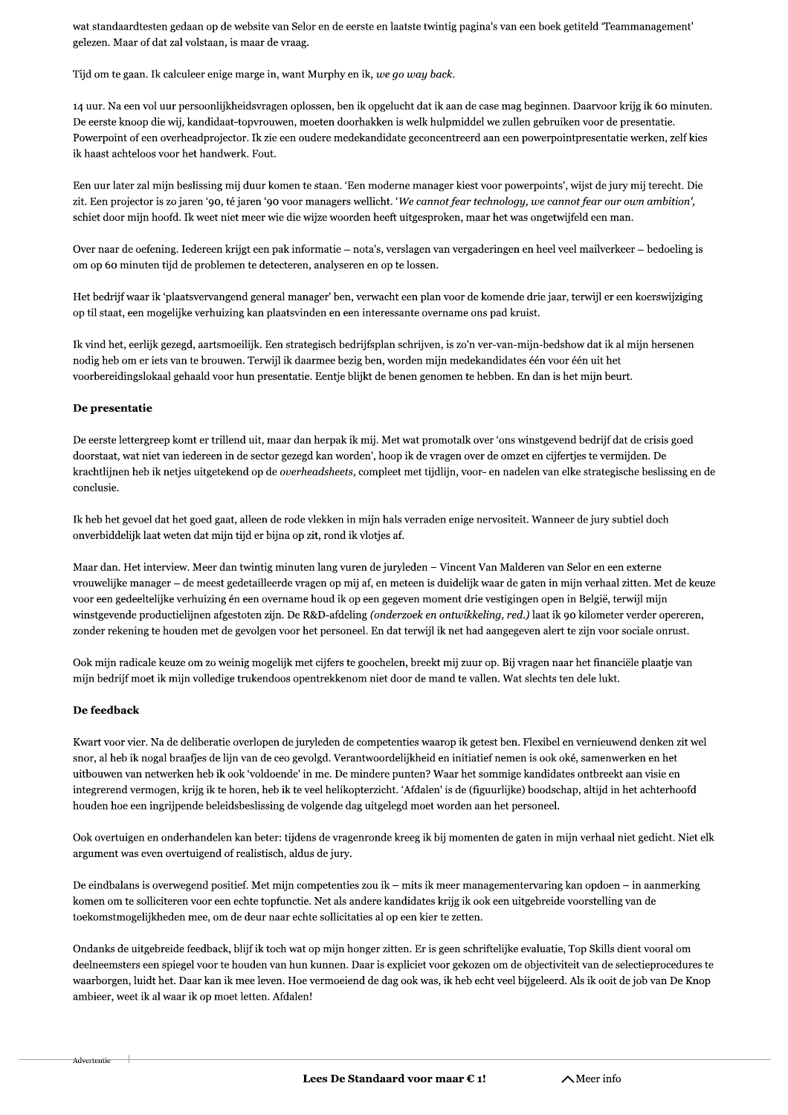wat standaardtesten gedaan op de website van Selor en de eerste en laatste twintig pagina's van een boek getiteld 'Teammanagement' gelezen. Maar of dat zal volstaan, is maar de vraag.

Tijd om te gaan. Ik calculeer enige marge in, want Murphy en ik, we go way back.

14 uur. Na een vol uur persoonlijkheidsvragen oplossen, ben ik opgelucht dat ik aan de case mag beginnen. Daarvoor krijg ik 60 minuten. De eerste knoop die wij, kandidaat-topvrouwen, moeten doorhakken is welk hulpmiddel we zullen gebruiken voor de presentatie. Powerpoint of een overheadprojector. Ik zie een oudere medekandidate geconcentreerd aan een powerpointpresentatie werken, zelf kies ik haast achteloos voor het handwerk. Fout.

Een uur later zal mijn beslissing mij duur komen te staan. 'Een moderne manager kiest voor powerpoints', wijst de jury mij terecht. Die zit. Een projector is zo jaren '90, té jaren '90 voor managers wellicht. 'We cannot fear technology, we cannot fear our own ambition', schiet door mijn hoofd. Ik weet niet meer wie die wijze woorden heeft uitgesproken, maar het was ongetwijfeld een man.

Over naar de oefening. Iedereen krijgt een pak informatie – nota's, verslagen van vergaderingen en heel veel mailverkeer – bedoeling is om op 60 minuten tijd de problemen te detecteren, analyseren en op te lossen.

Het bedrijf waar ik 'plaatsvervangend general manager' ben, verwacht een plan voor de komende drie jaar, terwijl er een koerswijziging op til staat, een mogelijke verhuizing kan plaatsvinden en een interessante overname ons pad kruist.

Ik vind het, eerlijk gezegd, aartsmoeilijk. Een strategisch bedrijfsplan schrijven, is zo'n ver-van-mijn-bedshow dat ik al mijn hersenen nodig heb om er iets van te brouwen. Terwijl ik daarmee bezig ben, worden mijn medekandidates één voor één uit het voorbereidingslokaal gehaald voor hun presentatie. Eentje blijkt de benen genomen te hebben. En dan is het mijn beurt.

## De presentatie

De eerste lettergreep komt er trillend uit, maar dan herpak ik mij. Met wat promotalk over 'ons winstgevend bedrijf dat de crisis goed doorstaat, wat niet van iedereen in de sector gezegd kan worden', hoop ik de vragen over de omzet en cijfertjes te vermijden. De krachtlijnen heb ik netjes uitgetekend op de overheadsheets, compleet met tijdlijn, voor- en nadelen van elke strategische beslissing en de conclusie.

Ik heb het gevoel dat het goed gaat, alleen de rode vlekken in mijn hals verraden enige nervositeit. Wanneer de jury subtiel doch onverbiddelijk laat weten dat mijn tijd er bijna op zit, rond ik vlotjes af.

Maar dan. Het interview. Meer dan twintig minuten lang vuren de juryleden – Vincent Van Malderen van Selor en een externe vrouwelijke manager - de meest gedetailleerde vragen op mij af, en meteen is duidelijk waar de gaten in mijn verhaal zitten. Met de keuze voor een gedeeltelijke verhuizing én een overname houd ik op een gegeven moment drie vestigingen open in België, terwijl mijn winstgevende productielijnen afgestoten zijn. De R&D-afdeling (onderzoek en ontwikkeling, red.) laat ik 90 kilometer verder opereren, zonder rekening te houden met de gevolgen voor het personeel. En dat terwijl ik net had aangegeven alert te zijn voor sociale onrust.

Ook mijn radicale keuze om zo weinig mogelijk met cijfers te goochelen, breekt mij zuur op. Bij vragen naar het financiële plaatje van mijn bedrijf moet ik mijn volledige trukendoos opentrekkenom niet door de mand te vallen. Wat slechts ten dele lukt.

## De feedback

Kwart voor vier. Na de deliberatie overlopen de juryleden de competenties waarop ik getest ben. Flexibel en vernieuwend denken zit wel snor, al heb ik nogal braafjes de lijn van de ceo gevolgd. Verantwoordelijkheid en initiatief nemen is ook oké, samenwerken en het uitbouwen van netwerken heb ik ook 'voldoende' in me. De mindere punten? Waar het sommige kandidates ontbreekt aan visie en integrerend vermogen, krijg ik te horen, heb ik te veel helikopterzicht. 'Afdalen' is de (figuurlijke) boodschap, altijd in het achterhoofd houden hoe een ingrijpende beleidsbeslissing de volgende dag uitgelegd moet worden aan het personeel.

Ook overtuigen en onderhandelen kan beter: tijdens de vragenronde kreeg ik bij momenten de gaten in mijn verhaal niet gedicht. Niet elk argument was even overtuigend of realistisch, aldus de jury.

De eindbalans is overwegend positief. Met mijn competenties zou ik – mits ik meer managementervaring kan opdoen – in aanmerking komen om te solliciteren voor een echte topfunctie. Net als andere kandidates krijg ik ook een uitgebreide voorstelling van de toekomstmogelijkheden mee, om de deur naar echte sollicitaties al op een kier te zetten.

Ondanks de uitgebreide feedback, blijf ik toch wat op mijn honger zitten. Er is geen schriftelijke evaluatie, Top Skills dient vooral om deelneemsters een spiegel voor te houden van hun kunnen. Daar is expliciet voor gekozen om de objectiviteit van de selectieprocedures te waarborgen, luidt het. Daar kan ik mee leven. Hoe vermoeiend de dag ook was, ik heb echt veel bijgeleerd. Als ik ooit de job van De Knop ambieer, weet ik al waar ik op moet letten. Afdalen!